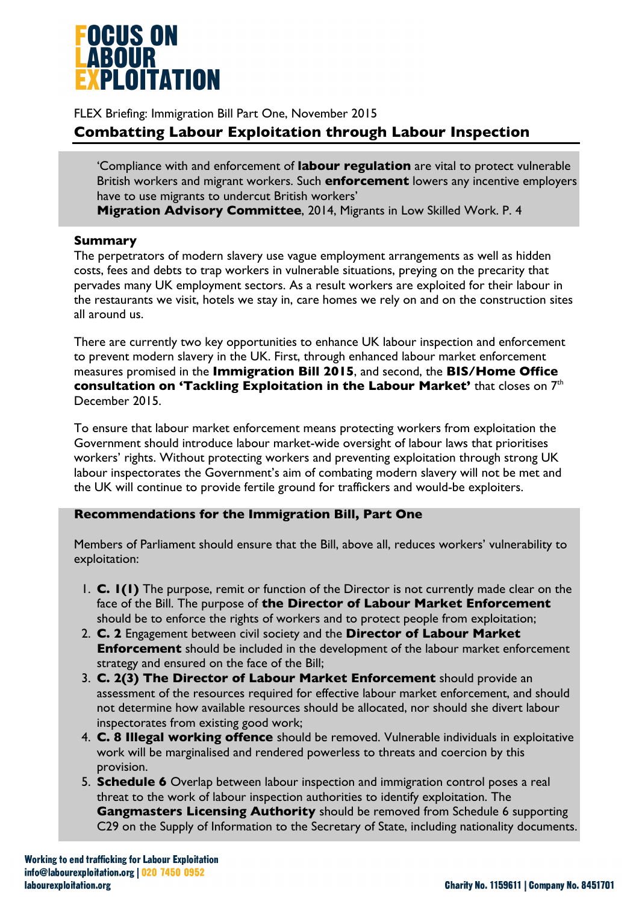

FLEX Briefing: Immigration Bill Part One, November 2015

# **Combatting Labour Exploitation through Labour Inspection**

'Compliance with and enforcement of **labour regulation** are vital to protect vulnerable British workers and migrant workers. Such **enforcement** lowers any incentive employers have to use migrants to undercut British workers'

**Migration Advisory Committee**, 2014, Migrants in Low Skilled Work. P. 4

#### **Summary**

The perpetrators of modern slavery use vague employment arrangements as well as hidden costs, fees and debts to trap workers in vulnerable situations, preying on the precarity that pervades many UK employment sectors. As a result workers are exploited for their labour in the restaurants we visit, hotels we stay in, care homes we rely on and on the construction sites all around us.

There are currently two key opportunities to enhance UK labour inspection and enforcement to prevent modern slavery in the UK. First, through enhanced labour market enforcement measures promised in the **Immigration Bill 2015**, and second, the **BIS/Home Office consultation on 'Tackling Exploitation in the Labour Market'** that closes on 7th December 2015.

To ensure that labour market enforcement means protecting workers from exploitation the Government should introduce labour market-wide oversight of labour laws that prioritises workers' rights. Without protecting workers and preventing exploitation through strong UK labour inspectorates the Government's aim of combating modern slavery will not be met and the UK will continue to provide fertile ground for traffickers and would-be exploiters.

### **Recommendations for the Immigration Bill, Part One**

Members of Parliament should ensure that the Bill, above all, reduces workers' vulnerability to exploitation:

- 1. **C. 1(1)** The purpose, remit or function of the Director is not currently made clear on the face of the Bill. The purpose of **the Director of Labour Market Enforcement**  should be to enforce the rights of workers and to protect people from exploitation;
- 2. **C. 2** Engagement between civil society and the **Director of Labour Market Enforcement** should be included in the development of the labour market enforcement strategy and ensured on the face of the Bill;
- 3. **C. 2(3) The Director of Labour Market Enforcement** should provide an assessment of the resources required for effective labour market enforcement, and should not determine how available resources should be allocated, nor should she divert labour inspectorates from existing good work;
- 4. **C. 8 Illegal working offence** should be removed. Vulnerable individuals in exploitative work will be marginalised and rendered powerless to threats and coercion by this provision.
- 5. **Schedule 6** Overlap between labour inspection and immigration control poses a real threat to the work of labour inspection authorities to identify exploitation. The **Gangmasters Licensing Authority** should be removed from Schedule 6 supporting C29 on the Supply of Information to the Secretary of State, including nationality documents.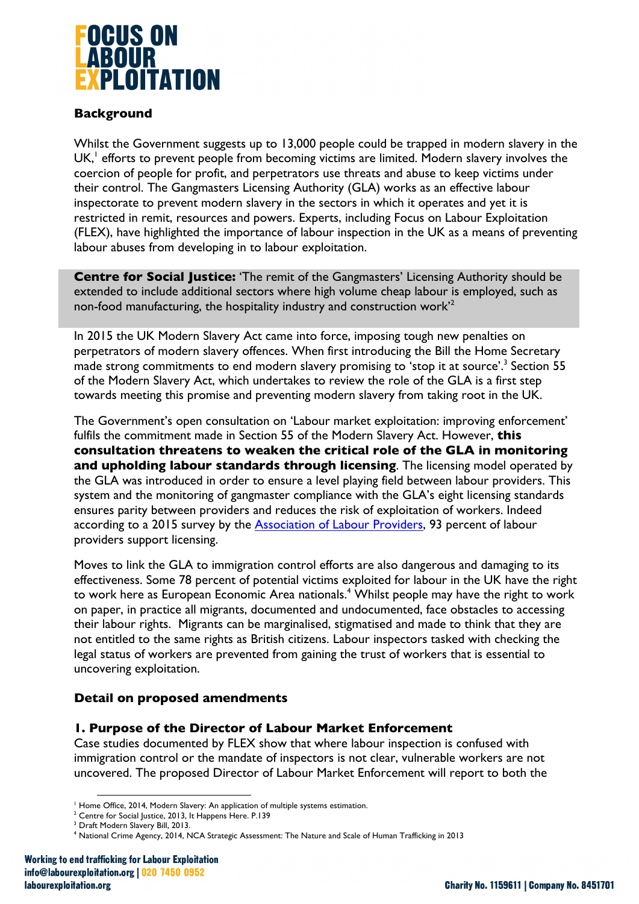

### **Background**

Whilst the Government suggests up to 13,000 people could be trapped in modern slavery in the UK,<sup>1</sup> efforts to prevent people from becoming victims are limited. Modern slavery involves the coercion of people for profit, and perpetrators use threats and abuse to keep victims under their control. The Gangmasters Licensing Authority (GLA) works as an effective labour inspectorate to prevent modern slavery in the sectors in which it operates and yet it is restricted in remit, resources and powers. Experts, including Focus on Labour Exploitation (FLEX), have highlighted the importance of labour inspection in the UK as a means of preventing labour abuses from developing in to labour exploitation.

**Centre for Social Justice:** 'The remit of the Gangmasters' Licensing Authority should be extended to include additional sectors where high volume cheap labour is employed, such as non-food manufacturing, the hospitality industry and construction work'2

In 2015 the UK Modern Slavery Act came into force, imposing tough new penalties on perpetrators of modern slavery offences. When first introducing the Bill the Home Secretary made strong commitments to end modern slavery promising to 'stop it at source'.<sup>3</sup> Section 55 of the Modern Slavery Act, which undertakes to review the role of the GLA is a first step towards meeting this promise and preventing modern slavery from taking root in the UK.

The Government's open consultation on 'Labour market exploitation: improving enforcement' fulfils the commitment made in Section 55 of the Modern Slavery Act. However, **this consultation threatens to weaken the critical role of the GLA in monitoring and upholding labour standards through licensing**. The licensing model operated by the GLA was introduced in order to ensure a level playing field between labour providers. This system and the monitoring of gangmaster compliance with the GLA's eight licensing standards ensures parity between providers and reduces the risk of exploitation of workers. Indeed according to a 2015 survey by the Association of Labour Providers, 93 percent of labour providers support licensing.

Moves to link the GLA to immigration control efforts are also dangerous and damaging to its effectiveness. Some 78 percent of potential victims exploited for labour in the UK have the right to work here as European Economic Area nationals. <sup>4</sup> Whilst people may have the right to work on paper, in practice all migrants, documented and undocumented, face obstacles to accessing their labour rights. Migrants can be marginalised, stigmatised and made to think that they are not entitled to the same rights as British citizens. Labour inspectors tasked with checking the legal status of workers are prevented from gaining the trust of workers that is essential to uncovering exploitation.

### **Detail on proposed amendments**

### **1. Purpose of the Director of Labour Market Enforcement**

Case studies documented by FLEX show that where labour inspection is confused with immigration control or the mandate of inspectors is not clear, vulnerable workers are not uncovered. The proposed Director of Labour Market Enforcement will report to both the

 <sup>1</sup> Home Office, 2014, Modern Slavery: An application of multiple systems estimation.

<sup>&</sup>lt;sup>2</sup> Centre for Social Justice, 2013, It Happens Here. P.139<br><sup>3</sup> Draft Modern Slavery Bill, 2013.

<sup>4</sup> National Crime Agency, 2014, NCA Strategic Assessment: The Nature and Scale of Human Trafficking in 2013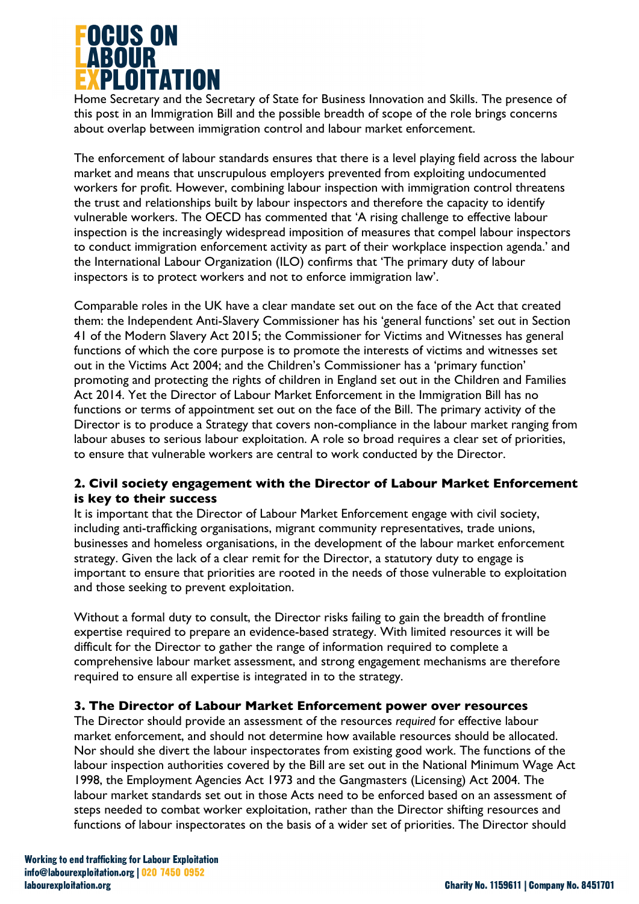

Home Secretary and the Secretary of State for Business Innovation and Skills. The presence of this post in an Immigration Bill and the possible breadth of scope of the role brings concerns about overlap between immigration control and labour market enforcement.

The enforcement of labour standards ensures that there is a level playing field across the labour market and means that unscrupulous employers prevented from exploiting undocumented workers for profit. However, combining labour inspection with immigration control threatens the trust and relationships built by labour inspectors and therefore the capacity to identify vulnerable workers. The OECD has commented that 'A rising challenge to effective labour inspection is the increasingly widespread imposition of measures that compel labour inspectors to conduct immigration enforcement activity as part of their workplace inspection agenda.' and the International Labour Organization (ILO) confirms that 'The primary duty of labour inspectors is to protect workers and not to enforce immigration law'.

Comparable roles in the UK have a clear mandate set out on the face of the Act that created them: the Independent Anti-Slavery Commissioner has his 'general functions' set out in Section 41 of the Modern Slavery Act 2015; the Commissioner for Victims and Witnesses has general functions of which the core purpose is to promote the interests of victims and witnesses set out in the Victims Act 2004; and the Children's Commissioner has a 'primary function' promoting and protecting the rights of children in England set out in the Children and Families Act 2014. Yet the Director of Labour Market Enforcement in the Immigration Bill has no functions or terms of appointment set out on the face of the Bill. The primary activity of the Director is to produce a Strategy that covers non-compliance in the labour market ranging from labour abuses to serious labour exploitation. A role so broad requires a clear set of priorities, to ensure that vulnerable workers are central to work conducted by the Director.

## **2. Civil society engagement with the Director of Labour Market Enforcement is key to their success**

It is important that the Director of Labour Market Enforcement engage with civil society, including anti-trafficking organisations, migrant community representatives, trade unions, businesses and homeless organisations, in the development of the labour market enforcement strategy. Given the lack of a clear remit for the Director, a statutory duty to engage is important to ensure that priorities are rooted in the needs of those vulnerable to exploitation and those seeking to prevent exploitation.

Without a formal duty to consult, the Director risks failing to gain the breadth of frontline expertise required to prepare an evidence-based strategy. With limited resources it will be difficult for the Director to gather the range of information required to complete a comprehensive labour market assessment, and strong engagement mechanisms are therefore required to ensure all expertise is integrated in to the strategy.

### **3. The Director of Labour Market Enforcement power over resources**

The Director should provide an assessment of the resources *required* for effective labour market enforcement, and should not determine how available resources should be allocated. Nor should she divert the labour inspectorates from existing good work. The functions of the labour inspection authorities covered by the Bill are set out in the National Minimum Wage Act 1998, the Employment Agencies Act 1973 and the Gangmasters (Licensing) Act 2004. The labour market standards set out in those Acts need to be enforced based on an assessment of steps needed to combat worker exploitation, rather than the Director shifting resources and functions of labour inspectorates on the basis of a wider set of priorities. The Director should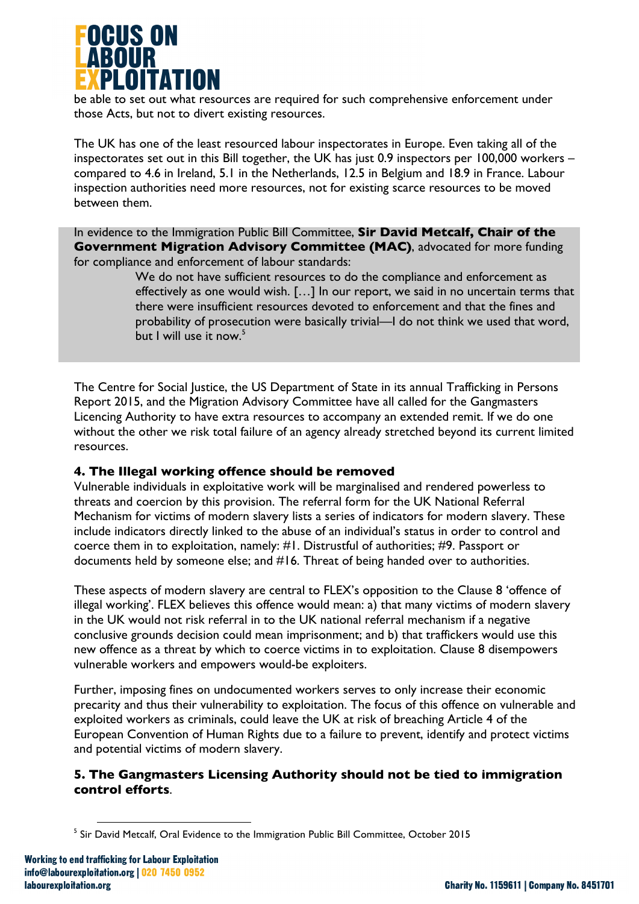

be able to set out what resources are required for such comprehensive enforcement under those Acts, but not to divert existing resources.

The UK has one of the least resourced labour inspectorates in Europe. Even taking all of the inspectorates set out in this Bill together, the UK has just 0.9 inspectors per 100,000 workers – compared to 4.6 in Ireland, 5.1 in the Netherlands, 12.5 in Belgium and 18.9 in France. Labour inspection authorities need more resources, not for existing scarce resources to be moved between them.

In evidence to the Immigration Public Bill Committee, **Sir David Metcalf, Chair of the Government Migration Advisory Committee (MAC)**, advocated for more funding for compliance and enforcement of labour standards:

> We do not have sufficient resources to do the compliance and enforcement as effectively as one would wish. […] In our report, we said in no uncertain terms that there were insufficient resources devoted to enforcement and that the fines and probability of prosecution were basically trivial—I do not think we used that word, but I will use it now.<sup>5</sup>

The Centre for Social Justice, the US Department of State in its annual Trafficking in Persons Report 2015, and the Migration Advisory Committee have all called for the Gangmasters Licencing Authority to have extra resources to accompany an extended remit. If we do one without the other we risk total failure of an agency already stretched beyond its current limited resources.

### **4. The Illegal working offence should be removed**

Vulnerable individuals in exploitative work will be marginalised and rendered powerless to threats and coercion by this provision. The referral form for the UK National Referral Mechanism for victims of modern slavery lists a series of indicators for modern slavery. These include indicators directly linked to the abuse of an individual's status in order to control and coerce them in to exploitation, namely: #1. Distrustful of authorities; #9. Passport or documents held by someone else; and #16. Threat of being handed over to authorities.

These aspects of modern slavery are central to FLEX's opposition to the Clause 8 'offence of illegal working'. FLEX believes this offence would mean: a) that many victims of modern slavery in the UK would not risk referral in to the UK national referral mechanism if a negative conclusive grounds decision could mean imprisonment; and b) that traffickers would use this new offence as a threat by which to coerce victims in to exploitation. Clause 8 disempowers vulnerable workers and empowers would-be exploiters.

Further, imposing fines on undocumented workers serves to only increase their economic precarity and thus their vulnerability to exploitation. The focus of this offence on vulnerable and exploited workers as criminals, could leave the UK at risk of breaching Article 4 of the European Convention of Human Rights due to a failure to prevent, identify and protect victims and potential victims of modern slavery.

### **5. The Gangmasters Licensing Authority should not be tied to immigration control efforts**.

 

<sup>&</sup>lt;sup>5</sup> Sir David Metcalf, Oral Evidence to the Immigration Public Bill Committee, October 2015